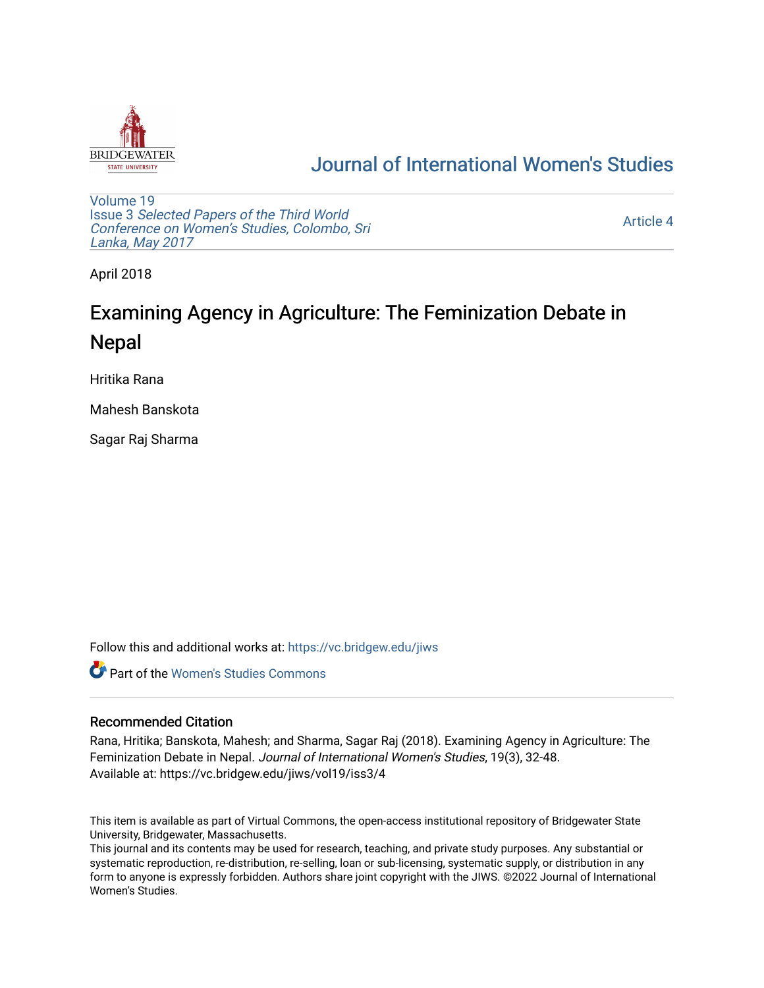

## [Journal of International Women's Studies](https://vc.bridgew.edu/jiws)

[Volume 19](https://vc.bridgew.edu/jiws/vol19) Issue 3 [Selected Papers of the Third World](https://vc.bridgew.edu/jiws/vol19/iss3) [Conference on Women's Studies, Colombo, Sri](https://vc.bridgew.edu/jiws/vol19/iss3)  [Lanka, May 2017](https://vc.bridgew.edu/jiws/vol19/iss3) 

[Article 4](https://vc.bridgew.edu/jiws/vol19/iss3/4) 

April 2018

# Examining Agency in Agriculture: The Feminization Debate in Nepal

Hritika Rana

Mahesh Banskota

Sagar Raj Sharma

Follow this and additional works at: [https://vc.bridgew.edu/jiws](https://vc.bridgew.edu/jiws?utm_source=vc.bridgew.edu%2Fjiws%2Fvol19%2Fiss3%2F4&utm_medium=PDF&utm_campaign=PDFCoverPages)

**C** Part of the Women's Studies Commons

#### Recommended Citation

Rana, Hritika; Banskota, Mahesh; and Sharma, Sagar Raj (2018). Examining Agency in Agriculture: The Feminization Debate in Nepal. Journal of International Women's Studies, 19(3), 32-48. Available at: https://vc.bridgew.edu/jiws/vol19/iss3/4

This item is available as part of Virtual Commons, the open-access institutional repository of Bridgewater State University, Bridgewater, Massachusetts.

This journal and its contents may be used for research, teaching, and private study purposes. Any substantial or systematic reproduction, re-distribution, re-selling, loan or sub-licensing, systematic supply, or distribution in any form to anyone is expressly forbidden. Authors share joint copyright with the JIWS. ©2022 Journal of International Women's Studies.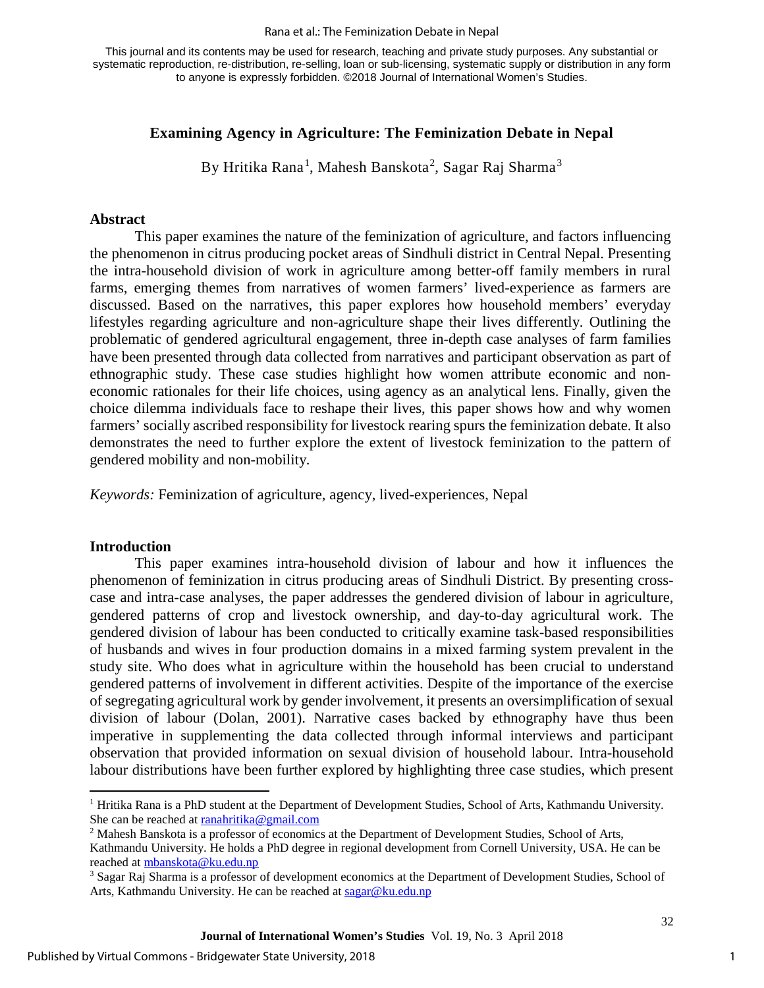#### Rana et al.: The Feminization Debate in Nepal

This journal and its contents may be used for research, teaching and private study purposes. Any substantial or systematic reproduction, re-distribution, re-selling, loan or sub-licensing, systematic supply or distribution in any form to anyone is expressly forbidden. ©2018 Journal of International Women's Studies.

## **Examining Agency in Agriculture: The Feminization Debate in Nepal**

By Hritika Rana $^1$  $^1$ , Mahesh Banskota $^2$  $^2$ , Sagar Raj Sharma $^3$  $^3$ 

#### **Abstract**

This paper examines the nature of the feminization of agriculture, and factors influencing the phenomenon in citrus producing pocket areas of Sindhuli district in Central Nepal. Presenting the intra-household division of work in agriculture among better-off family members in rural farms, emerging themes from narratives of women farmers' lived-experience as farmers are discussed. Based on the narratives, this paper explores how household members' everyday lifestyles regarding agriculture and non-agriculture shape their lives differently. Outlining the problematic of gendered agricultural engagement, three in-depth case analyses of farm families have been presented through data collected from narratives and participant observation as part of ethnographic study. These case studies highlight how women attribute economic and noneconomic rationales for their life choices, using agency as an analytical lens. Finally, given the choice dilemma individuals face to reshape their lives, this paper shows how and why women farmers' socially ascribed responsibility for livestock rearing spurs the feminization debate. It also demonstrates the need to further explore the extent of livestock feminization to the pattern of gendered mobility and non-mobility.

*Keywords:* Feminization of agriculture, agency, lived-experiences, Nepal

#### **Introduction**

This paper examines intra-household division of labour and how it influences the phenomenon of feminization in citrus producing areas of Sindhuli District. By presenting crosscase and intra-case analyses, the paper addresses the gendered division of labour in agriculture, gendered patterns of crop and livestock ownership, and day-to-day agricultural work. The gendered division of labour has been conducted to critically examine task-based responsibilities of husbands and wives in four production domains in a mixed farming system prevalent in the study site. Who does what in agriculture within the household has been crucial to understand gendered patterns of involvement in different activities. Despite of the importance of the exercise of segregating agricultural work by gender involvement, it presents an oversimplification of sexual division of labour (Dolan, 2001). Narrative cases backed by ethnography have thus been imperative in supplementing the data collected through informal interviews and participant observation that provided information on sexual division of household labour. Intra-household labour distributions have been further explored by highlighting three case studies, which present

1

<span id="page-1-0"></span> $\overline{1}$ <sup>1</sup> Hritika Rana is a PhD student at the Department of Development Studies, School of Arts, Kathmandu University. She can be reached at **ranahritika@gmail.com**<br><sup>2</sup> Mahesh Banskota is a professor of economics at the Department of Development Studies, School of Arts,

<span id="page-1-1"></span>Kathmandu University. He holds a PhD degree in regional development from Cornell University, USA. He can be reached at mbanskota@ku.edu.np<br><sup>3</sup> Sagar Raj Sharma is a professor of development economics at the Department of Development Studies, School of

<span id="page-1-2"></span>Arts, Kathmandu University. He can be reached at sagar@ku.edu.np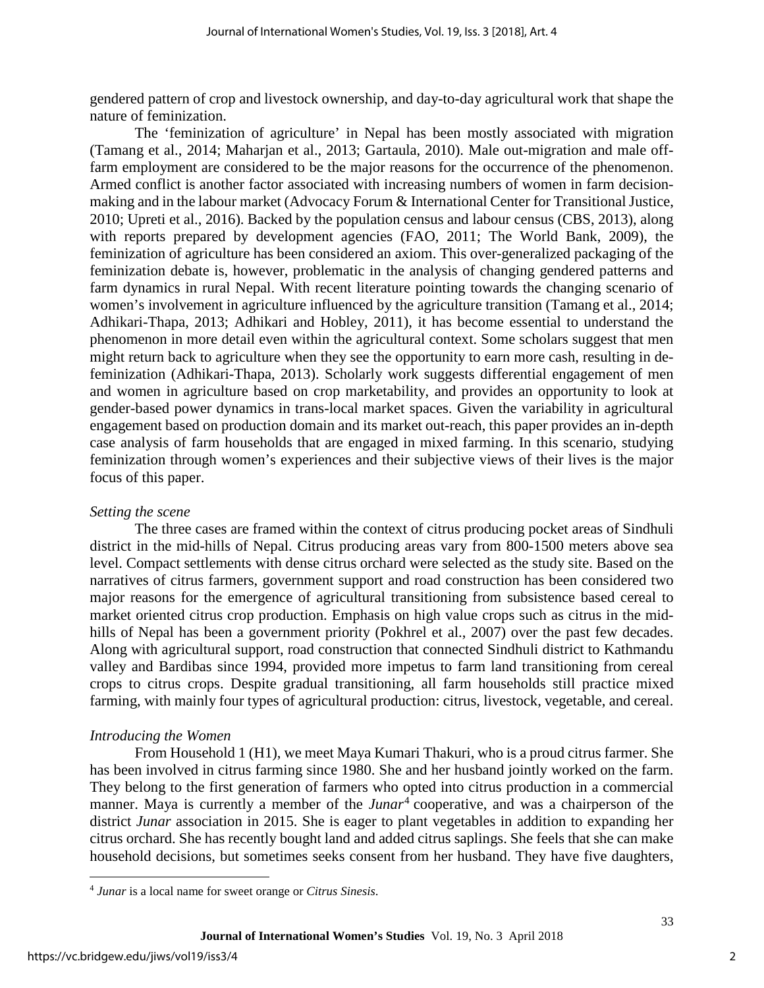gendered pattern of crop and livestock ownership, and day-to-day agricultural work that shape the nature of feminization.

The 'feminization of agriculture' in Nepal has been mostly associated with migration (Tamang et al., 2014; Maharjan et al., 2013; Gartaula, 2010). Male out-migration and male offfarm employment are considered to be the major reasons for the occurrence of the phenomenon. Armed conflict is another factor associated with increasing numbers of women in farm decisionmaking and in the labour market (Advocacy Forum & International Center for Transitional Justice, 2010; Upreti et al., 2016). Backed by the population census and labour census (CBS, 2013), along with reports prepared by development agencies (FAO, 2011; The World Bank, 2009), the feminization of agriculture has been considered an axiom. This over-generalized packaging of the feminization debate is, however, problematic in the analysis of changing gendered patterns and farm dynamics in rural Nepal. With recent literature pointing towards the changing scenario of women's involvement in agriculture influenced by the agriculture transition (Tamang et al., 2014; Adhikari-Thapa, 2013; Adhikari and Hobley, 2011), it has become essential to understand the phenomenon in more detail even within the agricultural context. Some scholars suggest that men might return back to agriculture when they see the opportunity to earn more cash, resulting in defeminization (Adhikari-Thapa, 2013). Scholarly work suggests differential engagement of men and women in agriculture based on crop marketability, and provides an opportunity to look at gender-based power dynamics in trans-local market spaces. Given the variability in agricultural engagement based on production domain and its market out-reach, this paper provides an in-depth case analysis of farm households that are engaged in mixed farming. In this scenario, studying feminization through women's experiences and their subjective views of their lives is the major focus of this paper.

#### *Setting the scene*

The three cases are framed within the context of citrus producing pocket areas of Sindhuli district in the mid-hills of Nepal. Citrus producing areas vary from 800-1500 meters above sea level. Compact settlements with dense citrus orchard were selected as the study site. Based on the narratives of citrus farmers, government support and road construction has been considered two major reasons for the emergence of agricultural transitioning from subsistence based cereal to market oriented citrus crop production. Emphasis on high value crops such as citrus in the midhills of Nepal has been a government priority (Pokhrel et al., 2007) over the past few decades. Along with agricultural support, road construction that connected Sindhuli district to Kathmandu valley and Bardibas since 1994, provided more impetus to farm land transitioning from cereal crops to citrus crops. Despite gradual transitioning, all farm households still practice mixed farming, with mainly four types of agricultural production: citrus, livestock, vegetable, and cereal.

## *Introducing the Women*

From Household 1 (H1), we meet Maya Kumari Thakuri, who is a proud citrus farmer. She has been involved in citrus farming since 1980. She and her husband jointly worked on the farm. They belong to the first generation of farmers who opted into citrus production in a commercial manner. Maya is currently a member of the *Junar*<sup>[4](#page-2-0)</sup> cooperative, and was a chairperson of the district *Junar* association in 2015. She is eager to plant vegetables in addition to expanding her citrus orchard. She has recently bought land and added citrus saplings. She feels that she can make household decisions, but sometimes seeks consent from her husband. They have five daughters,

2

<span id="page-2-0"></span> $\overline{a}$ <sup>4</sup> *Junar* is a local name for sweet orange or *Citrus Sinesis*.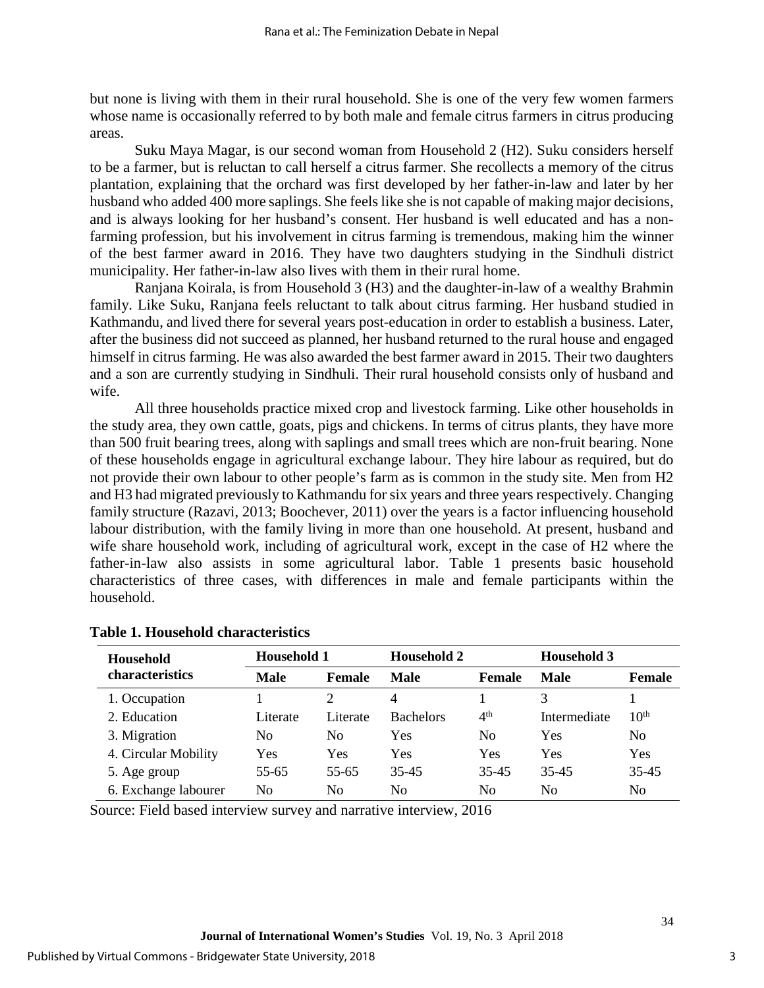but none is living with them in their rural household. She is one of the very few women farmers whose name is occasionally referred to by both male and female citrus farmers in citrus producing areas.

Suku Maya Magar, is our second woman from Household 2 (H2). Suku considers herself to be a farmer, but is reluctan to call herself a citrus farmer. She recollects a memory of the citrus plantation, explaining that the orchard was first developed by her father-in-law and later by her husband who added 400 more saplings. She feels like she is not capable of making major decisions, and is always looking for her husband's consent. Her husband is well educated and has a nonfarming profession, but his involvement in citrus farming is tremendous, making him the winner of the best farmer award in 2016. They have two daughters studying in the Sindhuli district municipality. Her father-in-law also lives with them in their rural home.

Ranjana Koirala, is from Household 3 (H3) and the daughter-in-law of a wealthy Brahmin family. Like Suku, Ranjana feels reluctant to talk about citrus farming. Her husband studied in Kathmandu, and lived there for several years post-education in order to establish a business. Later, after the business did not succeed as planned, her husband returned to the rural house and engaged himself in citrus farming. He was also awarded the best farmer award in 2015. Their two daughters and a son are currently studying in Sindhuli. Their rural household consists only of husband and wife.

All three households practice mixed crop and livestock farming. Like other households in the study area, they own cattle, goats, pigs and chickens. In terms of citrus plants, they have more than 500 fruit bearing trees, along with saplings and small trees which are non-fruit bearing. None of these households engage in agricultural exchange labour. They hire labour as required, but do not provide their own labour to other people's farm as is common in the study site. Men from H2 and H3 had migrated previously to Kathmandu for six years and three years respectively. Changing family structure (Razavi, 2013; Boochever, 2011) over the years is a factor influencing household labour distribution, with the family living in more than one household. At present, husband and wife share household work, including of agricultural work, except in the case of H2 where the father-in-law also assists in some agricultural labor. Table 1 presents basic household characteristics of three cases, with differences in male and female participants within the household.

| <b>Household</b><br>characteristics | <b>Household 1</b> |                | <b>Household 2</b> |                 | <b>Household 3</b> |                  |
|-------------------------------------|--------------------|----------------|--------------------|-----------------|--------------------|------------------|
|                                     | <b>Male</b>        | <b>Female</b>  | <b>Male</b>        | Female          | <b>Male</b>        | <b>Female</b>    |
| 1. Occupation                       |                    |                | 4                  |                 |                    |                  |
| 2. Education                        | Literate           | Literate       | <b>Bachelors</b>   | 4 <sup>th</sup> | Intermediate       | 10 <sup>th</sup> |
| 3. Migration                        | No                 | N <sub>0</sub> | Yes                | N <sub>0</sub>  | Yes                | No               |
| 4. Circular Mobility                | Yes                | Yes            | <b>Yes</b>         | Yes             | Yes                | Yes              |
| 5. Age group                        | $55 - 65$          | 55-65          | 35-45              | 35-45           | 35-45              | $35 - 45$        |
| 6. Exchange labourer                | No                 | No             | N <sub>0</sub>     | No              | No                 | No               |

#### **Table 1. Household characteristics**

Source: Field based interview survey and narrative interview, 2016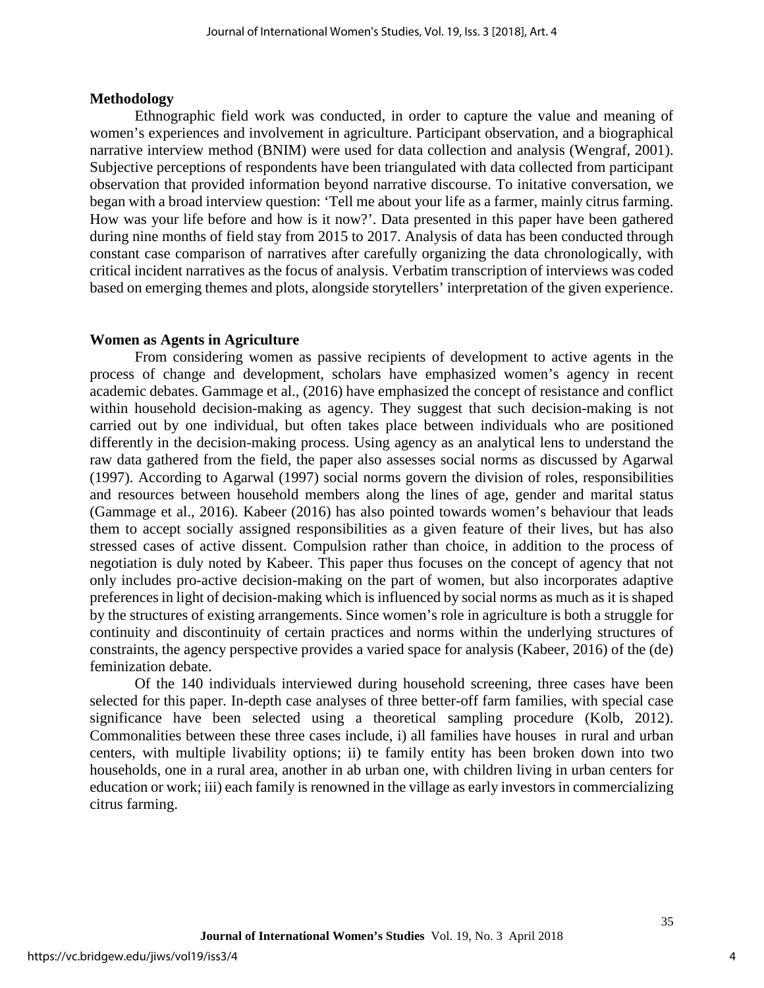#### **Methodology**

Ethnographic field work was conducted, in order to capture the value and meaning of women's experiences and involvement in agriculture. Participant observation, and a biographical narrative interview method (BNIM) were used for data collection and analysis (Wengraf, 2001). Subjective perceptions of respondents have been triangulated with data collected from participant observation that provided information beyond narrative discourse. To initative conversation, we began with a broad interview question: 'Tell me about your life as a farmer, mainly citrus farming. How was your life before and how is it now?'. Data presented in this paper have been gathered during nine months of field stay from 2015 to 2017. Analysis of data has been conducted through constant case comparison of narratives after carefully organizing the data chronologically, with critical incident narratives as the focus of analysis. Verbatim transcription of interviews was coded based on emerging themes and plots, alongside storytellers' interpretation of the given experience.

#### **Women as Agents in Agriculture**

From considering women as passive recipients of development to active agents in the process of change and development, scholars have emphasized women's agency in recent academic debates. Gammage et al., (2016) have emphasized the concept of resistance and conflict within household decision-making as agency. They suggest that such decision-making is not carried out by one individual, but often takes place between individuals who are positioned differently in the decision-making process. Using agency as an analytical lens to understand the raw data gathered from the field, the paper also assesses social norms as discussed by Agarwal (1997). According to Agarwal (1997) social norms govern the division of roles, responsibilities and resources between household members along the lines of age, gender and marital status (Gammage et al., 2016). Kabeer (2016) has also pointed towards women's behaviour that leads them to accept socially assigned responsibilities as a given feature of their lives, but has also stressed cases of active dissent. Compulsion rather than choice, in addition to the process of negotiation is duly noted by Kabeer. This paper thus focuses on the concept of agency that not only includes pro-active decision-making on the part of women, but also incorporates adaptive preferences in light of decision-making which is influenced by social norms as much as it is shaped by the structures of existing arrangements. Since women's role in agriculture is both a struggle for continuity and discontinuity of certain practices and norms within the underlying structures of constraints, the agency perspective provides a varied space for analysis (Kabeer, 2016) of the (de) feminization debate.

Of the 140 individuals interviewed during household screening, three cases have been selected for this paper. In-depth case analyses of three better-off farm families, with special case significance have been selected using a theoretical sampling procedure (Kolb, 2012). Commonalities between these three cases include, i) all families have houses in rural and urban centers, with multiple livability options; ii) te family entity has been broken down into two households, one in a rural area, another in ab urban one, with children living in urban centers for education or work; iii) each family is renowned in the village as early investors in commercializing citrus farming.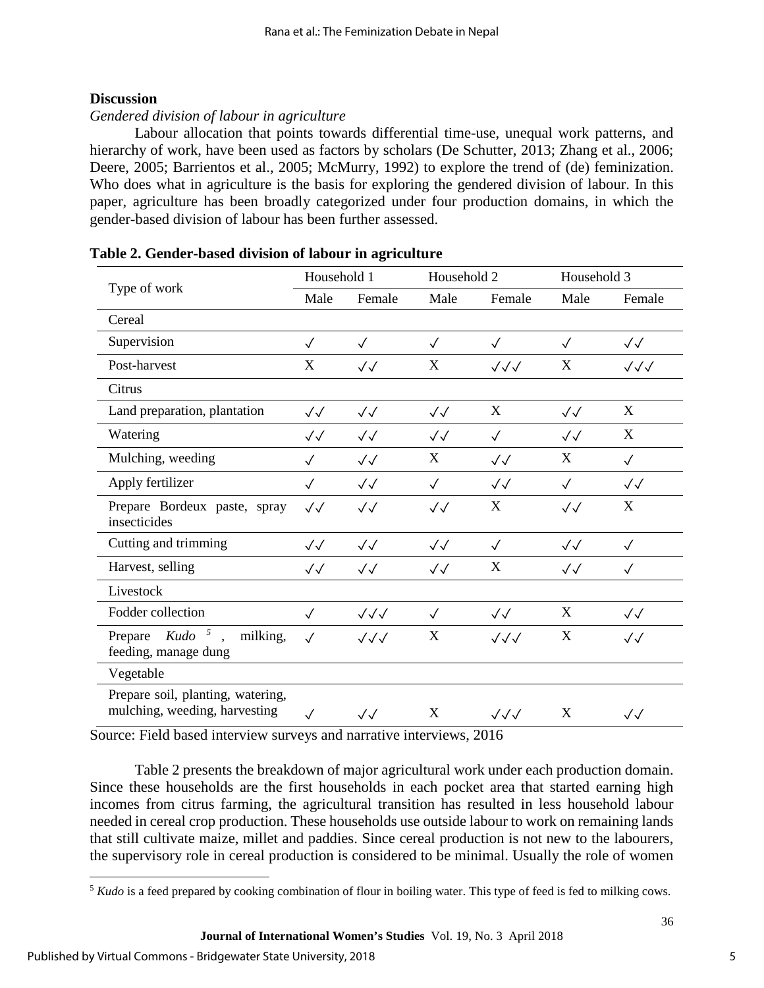## **Discussion**

## *Gendered division of labour in agriculture*

Labour allocation that points towards differential time-use, unequal work patterns, and hierarchy of work, have been used as factors by scholars (De Schutter, 2013; Zhang et al., 2006; Deere, 2005; Barrientos et al., 2005; McMurry, 1992) to explore the trend of (de) feminization. Who does what in agriculture is the basis for exploring the gendered division of labour. In this paper, agriculture has been broadly categorized under four production domains, in which the gender-based division of labour has been further assessed.

|                                                                    | Household 1       |                        | Household 2       |                   | Household 3       |                        |
|--------------------------------------------------------------------|-------------------|------------------------|-------------------|-------------------|-------------------|------------------------|
| Type of work                                                       | Male              | Female                 | Male              | Female            | Male              | Female                 |
| Cereal                                                             |                   |                        |                   |                   |                   |                        |
| Supervision                                                        | $\checkmark$      | $\sqrt{}$              | $\sqrt{}$         | $\sqrt{}$         | $\checkmark$      | $\checkmark\checkmark$ |
| Post-harvest                                                       | X                 | $\sqrt{\sqrt{2}}$      | X                 | $\sqrt{\sqrt{}}$  | X                 | $\sqrt{\sqrt{}}$       |
| Citrus                                                             |                   |                        |                   |                   |                   |                        |
| Land preparation, plantation                                       | $\sqrt{\sqrt{2}}$ | $\sqrt{\sqrt{2}}$      | $\sqrt{\sqrt{2}}$ | X                 | $\sqrt{\sqrt{2}}$ | X                      |
| Watering                                                           | $\sqrt{\sqrt{2}}$ | $\sqrt{\sqrt{2}}$      | $\sqrt{\sqrt{2}}$ | $\checkmark$      | $\sqrt{\sqrt{2}}$ | X                      |
| Mulching, weeding                                                  | $\checkmark$      | $\sqrt{\sqrt{2}}$      | X                 | $\sqrt{\sqrt{2}}$ | X                 | $\checkmark$           |
| Apply fertilizer                                                   | $\checkmark$      | $\sqrt{\sqrt{2}}$      | $\checkmark$      | $\sqrt{\sqrt{2}}$ | $\checkmark$      | $\sqrt{\sqrt{2}}$      |
| Prepare Bordeux paste, spray<br>insecticides                       | $\sqrt{\sqrt{2}}$ | $\sqrt{\sqrt{2}}$      | $\sqrt{\sqrt{2}}$ | X                 | $\sqrt{\sqrt{2}}$ | X                      |
| Cutting and trimming                                               | $\sqrt{\sqrt{2}}$ | $\sqrt{\sqrt{2}}$      | $\sqrt{\sqrt{2}}$ | $\sqrt{}$         | $\sqrt{\sqrt{2}}$ | $\checkmark$           |
| Harvest, selling                                                   | $\sqrt{\sqrt{2}}$ | $\sqrt{}$              | $\sqrt{\sqrt{2}}$ | X                 | $\sqrt{}$         | $\checkmark$           |
| Livestock                                                          |                   |                        |                   |                   |                   |                        |
| Fodder collection                                                  | $\checkmark$      | $\sqrt{\sqrt{}}$       | $\sqrt{}$         | $\sqrt{\sqrt{2}}$ | X                 | $\sqrt{\sqrt{2}}$      |
| Prepare $Kudo^{-5}$ ,<br>milking,<br>feeding, manage dung          | $\sqrt{ }$        | $\sqrt{\sqrt{}}$       | X                 | $\sqrt{\sqrt{}}$  | X                 | $\sqrt{\sqrt{2}}$      |
| Vegetable                                                          |                   |                        |                   |                   |                   |                        |
| Prepare soil, planting, watering,<br>mulching, weeding, harvesting | $\checkmark$      | $\checkmark\checkmark$ | X                 | $\sqrt{\sqrt{}}$  | X                 | $\checkmark\checkmark$ |

| Table 2. Gender-based division of labour in agriculture |  |  |  |
|---------------------------------------------------------|--|--|--|
|---------------------------------------------------------|--|--|--|

Source: Field based interview surveys and narrative interviews, 2016

Table 2 presents the breakdown of major agricultural work under each production domain. Since these households are the first households in each pocket area that started earning high incomes from citrus farming, the agricultural transition has resulted in less household labour needed in cereal crop production. These households use outside labour to work on remaining lands that still cultivate maize, millet and paddies. Since cereal production is not new to the labourers, the supervisory role in cereal production is considered to be minimal. Usually the role of women

<span id="page-5-0"></span> $\overline{a}$ <sup>5</sup> *Kudo* is a feed prepared by cooking combination of flour in boiling water. This type of feed is fed to milking cows.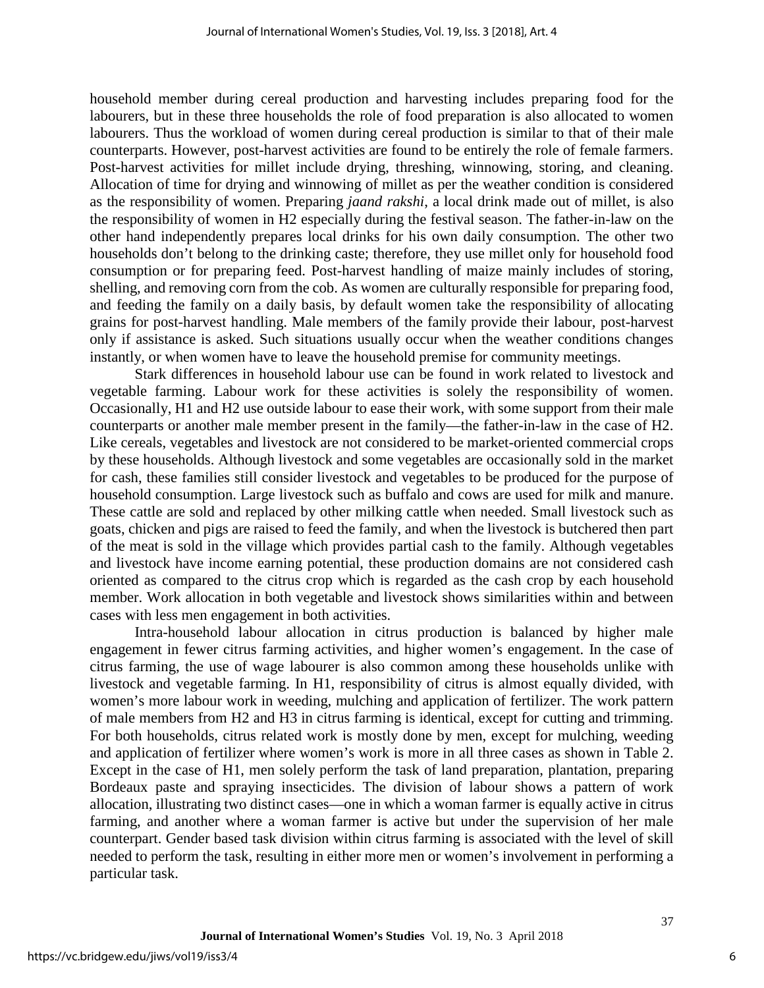household member during cereal production and harvesting includes preparing food for the labourers, but in these three households the role of food preparation is also allocated to women labourers. Thus the workload of women during cereal production is similar to that of their male counterparts. However, post-harvest activities are found to be entirely the role of female farmers. Post-harvest activities for millet include drying, threshing, winnowing, storing, and cleaning. Allocation of time for drying and winnowing of millet as per the weather condition is considered as the responsibility of women. Preparing *jaand rakshi*, a local drink made out of millet, is also the responsibility of women in H2 especially during the festival season. The father-in-law on the other hand independently prepares local drinks for his own daily consumption. The other two households don't belong to the drinking caste; therefore, they use millet only for household food consumption or for preparing feed. Post-harvest handling of maize mainly includes of storing, shelling, and removing corn from the cob. As women are culturally responsible for preparing food, and feeding the family on a daily basis, by default women take the responsibility of allocating grains for post-harvest handling. Male members of the family provide their labour, post-harvest only if assistance is asked. Such situations usually occur when the weather conditions changes instantly, or when women have to leave the household premise for community meetings.

Stark differences in household labour use can be found in work related to livestock and vegetable farming. Labour work for these activities is solely the responsibility of women. Occasionally, H1 and H2 use outside labour to ease their work, with some support from their male counterparts or another male member present in the family—the father-in-law in the case of H2. Like cereals, vegetables and livestock are not considered to be market-oriented commercial crops by these households. Although livestock and some vegetables are occasionally sold in the market for cash, these families still consider livestock and vegetables to be produced for the purpose of household consumption. Large livestock such as buffalo and cows are used for milk and manure. These cattle are sold and replaced by other milking cattle when needed. Small livestock such as goats, chicken and pigs are raised to feed the family, and when the livestock is butchered then part of the meat is sold in the village which provides partial cash to the family. Although vegetables and livestock have income earning potential, these production domains are not considered cash oriented as compared to the citrus crop which is regarded as the cash crop by each household member. Work allocation in both vegetable and livestock shows similarities within and between cases with less men engagement in both activities.

Intra-household labour allocation in citrus production is balanced by higher male engagement in fewer citrus farming activities, and higher women's engagement. In the case of citrus farming, the use of wage labourer is also common among these households unlike with livestock and vegetable farming. In H1, responsibility of citrus is almost equally divided, with women's more labour work in weeding, mulching and application of fertilizer. The work pattern of male members from H2 and H3 in citrus farming is identical, except for cutting and trimming. For both households, citrus related work is mostly done by men, except for mulching, weeding and application of fertilizer where women's work is more in all three cases as shown in Table 2. Except in the case of H1, men solely perform the task of land preparation, plantation, preparing Bordeaux paste and spraying insecticides. The division of labour shows a pattern of work allocation, illustrating two distinct cases—one in which a woman farmer is equally active in citrus farming, and another where a woman farmer is active but under the supervision of her male counterpart. Gender based task division within citrus farming is associated with the level of skill needed to perform the task, resulting in either more men or women's involvement in performing a particular task.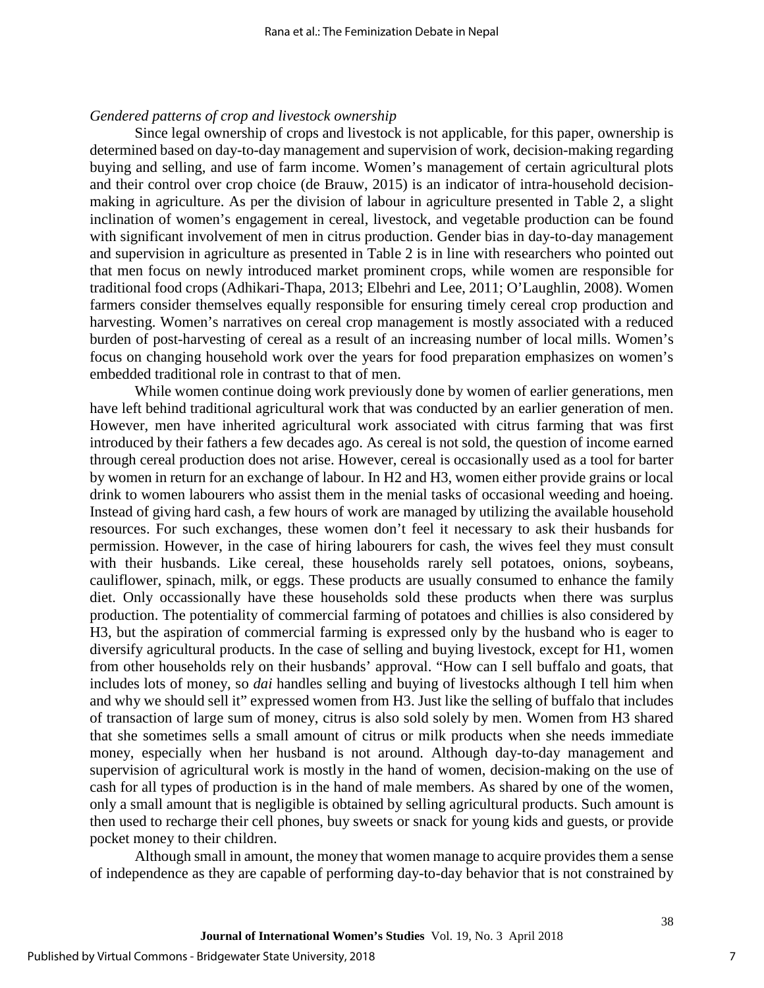#### *Gendered patterns of crop and livestock ownership*

Since legal ownership of crops and livestock is not applicable, for this paper, ownership is determined based on day-to-day management and supervision of work, decision-making regarding buying and selling, and use of farm income. Women's management of certain agricultural plots and their control over crop choice (de Brauw, 2015) is an indicator of intra-household decisionmaking in agriculture. As per the division of labour in agriculture presented in Table 2, a slight inclination of women's engagement in cereal, livestock, and vegetable production can be found with significant involvement of men in citrus production. Gender bias in day-to-day management and supervision in agriculture as presented in Table 2 is in line with researchers who pointed out that men focus on newly introduced market prominent crops, while women are responsible for traditional food crops (Adhikari-Thapa, 2013; Elbehri and Lee, 2011; O'Laughlin, 2008). Women farmers consider themselves equally responsible for ensuring timely cereal crop production and harvesting. Women's narratives on cereal crop management is mostly associated with a reduced burden of post-harvesting of cereal as a result of an increasing number of local mills. Women's focus on changing household work over the years for food preparation emphasizes on women's embedded traditional role in contrast to that of men.

While women continue doing work previously done by women of earlier generations, men have left behind traditional agricultural work that was conducted by an earlier generation of men. However, men have inherited agricultural work associated with citrus farming that was first introduced by their fathers a few decades ago. As cereal is not sold, the question of income earned through cereal production does not arise. However, cereal is occasionally used as a tool for barter by women in return for an exchange of labour. In H2 and H3, women either provide grains or local drink to women labourers who assist them in the menial tasks of occasional weeding and hoeing. Instead of giving hard cash, a few hours of work are managed by utilizing the available household resources. For such exchanges, these women don't feel it necessary to ask their husbands for permission. However, in the case of hiring labourers for cash, the wives feel they must consult with their husbands. Like cereal, these households rarely sell potatoes, onions, soybeans, cauliflower, spinach, milk, or eggs. These products are usually consumed to enhance the family diet. Only occassionally have these households sold these products when there was surplus production. The potentiality of commercial farming of potatoes and chillies is also considered by H3, but the aspiration of commercial farming is expressed only by the husband who is eager to diversify agricultural products. In the case of selling and buying livestock, except for H1, women from other households rely on their husbands' approval. "How can I sell buffalo and goats, that includes lots of money, so *dai* handles selling and buying of livestocks although I tell him when and why we should sell it" expressed women from H3. Just like the selling of buffalo that includes of transaction of large sum of money, citrus is also sold solely by men. Women from H3 shared that she sometimes sells a small amount of citrus or milk products when she needs immediate money, especially when her husband is not around. Although day-to-day management and supervision of agricultural work is mostly in the hand of women, decision-making on the use of cash for all types of production is in the hand of male members. As shared by one of the women, only a small amount that is negligible is obtained by selling agricultural products. Such amount is then used to recharge their cell phones, buy sweets or snack for young kids and guests, or provide pocket money to their children.

Although small in amount, the money that women manage to acquire provides them a sense of independence as they are capable of performing day-to-day behavior that is not constrained by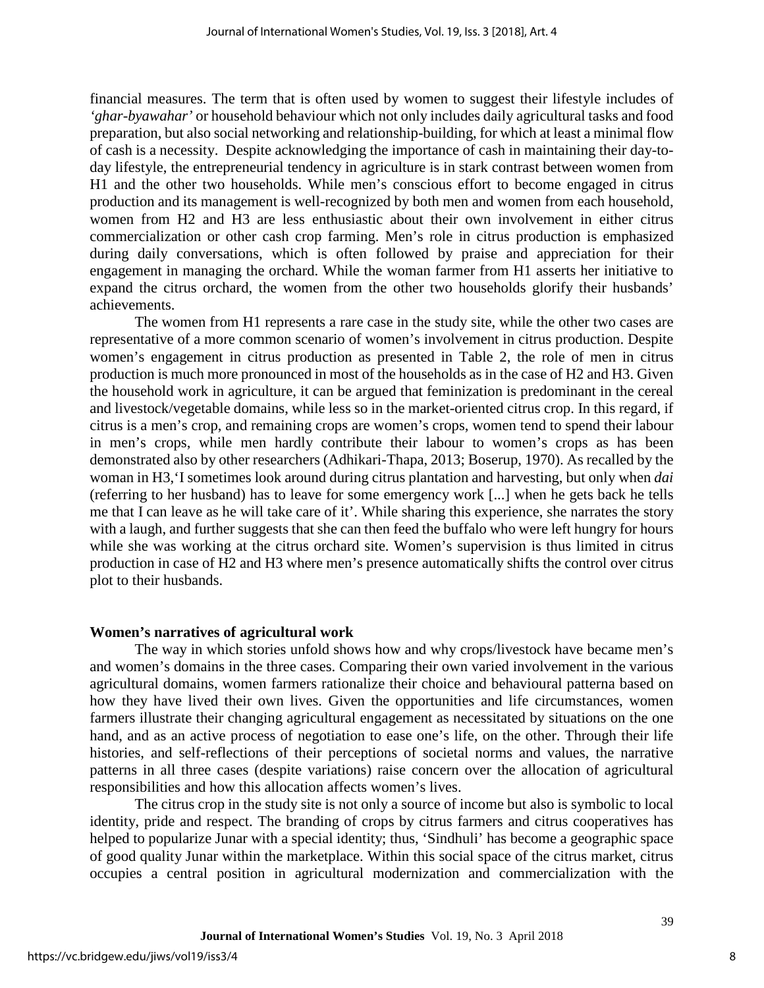financial measures. The term that is often used by women to suggest their lifestyle includes of *'ghar-byawahar'* or household behaviour which not only includes daily agricultural tasks and food preparation, but also social networking and relationship-building, for which at least a minimal flow of cash is a necessity. Despite acknowledging the importance of cash in maintaining their day-today lifestyle, the entrepreneurial tendency in agriculture is in stark contrast between women from H1 and the other two households. While men's conscious effort to become engaged in citrus production and its management is well-recognized by both men and women from each household, women from H2 and H3 are less enthusiastic about their own involvement in either citrus commercialization or other cash crop farming. Men's role in citrus production is emphasized during daily conversations, which is often followed by praise and appreciation for their engagement in managing the orchard. While the woman farmer from H1 asserts her initiative to expand the citrus orchard, the women from the other two households glorify their husbands' achievements.

The women from H1 represents a rare case in the study site, while the other two cases are representative of a more common scenario of women's involvement in citrus production. Despite women's engagement in citrus production as presented in Table 2, the role of men in citrus production is much more pronounced in most of the households as in the case of H2 and H3. Given the household work in agriculture, it can be argued that feminization is predominant in the cereal and livestock/vegetable domains, while less so in the market-oriented citrus crop. In this regard, if citrus is a men's crop, and remaining crops are women's crops, women tend to spend their labour in men's crops, while men hardly contribute their labour to women's crops as has been demonstrated also by other researchers (Adhikari-Thapa, 2013; Boserup, 1970). As recalled by the woman in H3,'I sometimes look around during citrus plantation and harvesting, but only when *dai* (referring to her husband) has to leave for some emergency work [...] when he gets back he tells me that I can leave as he will take care of it'. While sharing this experience, she narrates the story with a laugh, and further suggests that she can then feed the buffalo who were left hungry for hours while she was working at the citrus orchard site. Women's supervision is thus limited in citrus production in case of H2 and H3 where men's presence automatically shifts the control over citrus plot to their husbands.

#### **Women's narratives of agricultural work**

The way in which stories unfold shows how and why crops/livestock have became men's and women's domains in the three cases. Comparing their own varied involvement in the various agricultural domains, women farmers rationalize their choice and behavioural patterna based on how they have lived their own lives. Given the opportunities and life circumstances, women farmers illustrate their changing agricultural engagement as necessitated by situations on the one hand, and as an active process of negotiation to ease one's life, on the other. Through their life histories, and self-reflections of their perceptions of societal norms and values, the narrative patterns in all three cases (despite variations) raise concern over the allocation of agricultural responsibilities and how this allocation affects women's lives.

The citrus crop in the study site is not only a source of income but also is symbolic to local identity, pride and respect. The branding of crops by citrus farmers and citrus cooperatives has helped to popularize Junar with a special identity; thus, 'Sindhuli' has become a geographic space of good quality Junar within the marketplace. Within this social space of the citrus market, citrus occupies a central position in agricultural modernization and commercialization with the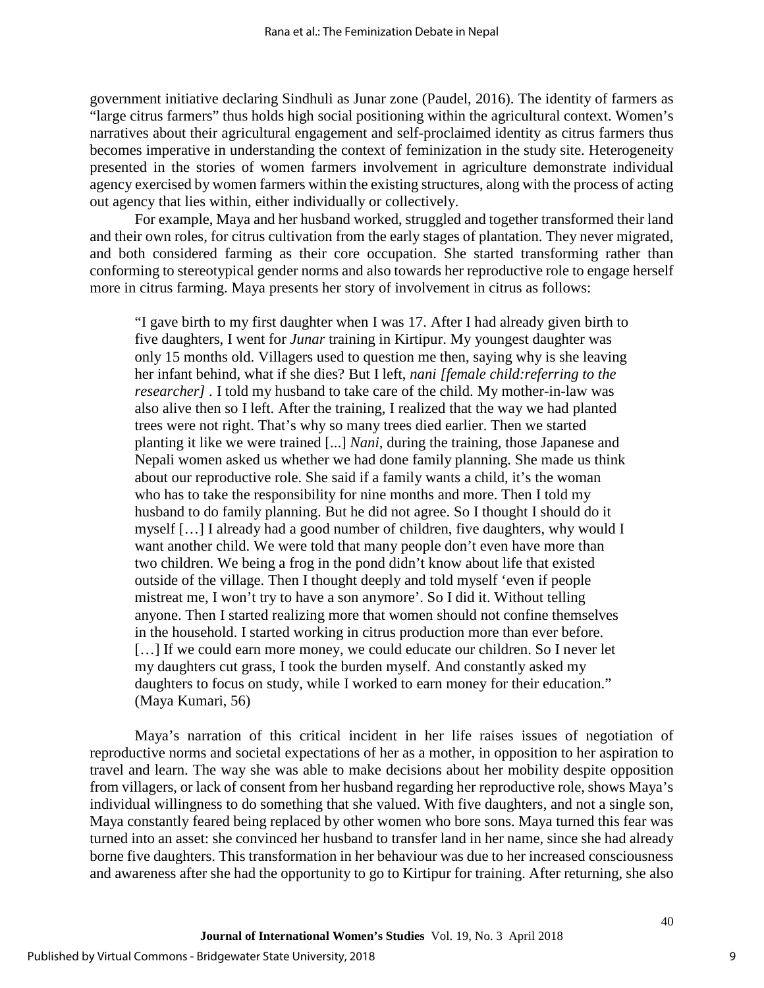government initiative declaring Sindhuli as Junar zone (Paudel, 2016). The identity of farmers as "large citrus farmers" thus holds high social positioning within the agricultural context. Women's narratives about their agricultural engagement and self-proclaimed identity as citrus farmers thus becomes imperative in understanding the context of feminization in the study site. Heterogeneity presented in the stories of women farmers involvement in agriculture demonstrate individual agency exercised by women farmers within the existing structures, along with the process of acting out agency that lies within, either individually or collectively.

For example, Maya and her husband worked, struggled and together transformed their land and their own roles, for citrus cultivation from the early stages of plantation. They never migrated, and both considered farming as their core occupation. She started transforming rather than conforming to stereotypical gender norms and also towards her reproductive role to engage herself more in citrus farming. Maya presents her story of involvement in citrus as follows:

"I gave birth to my first daughter when I was 17. After I had already given birth to five daughters, I went for *Junar* training in Kirtipur. My youngest daughter was only 15 months old. Villagers used to question me then, saying why is she leaving her infant behind, what if she dies? But I left, *nani [female child:referring to the researcher]*. I told my husband to take care of the child. My mother-in-law was also alive then so I left. After the training, I realized that the way we had planted trees were not right. That's why so many trees died earlier. Then we started planting it like we were trained [...] *Nani,* during the training, those Japanese and Nepali women asked us whether we had done family planning. She made us think about our reproductive role. She said if a family wants a child, it's the woman who has to take the responsibility for nine months and more. Then I told my husband to do family planning. But he did not agree. So I thought I should do it myself […] I already had a good number of children, five daughters, why would I want another child. We were told that many people don't even have more than two children. We being a frog in the pond didn't know about life that existed outside of the village. Then I thought deeply and told myself 'even if people mistreat me, I won't try to have a son anymore'. So I did it. Without telling anyone. Then I started realizing more that women should not confine themselves in the household. I started working in citrus production more than ever before. [...] If we could earn more money, we could educate our children. So I never let my daughters cut grass, I took the burden myself. And constantly asked my daughters to focus on study, while I worked to earn money for their education." (Maya Kumari, 56)

Maya's narration of this critical incident in her life raises issues of negotiation of reproductive norms and societal expectations of her as a mother, in opposition to her aspiration to travel and learn. The way she was able to make decisions about her mobility despite opposition from villagers, or lack of consent from her husband regarding her reproductive role, shows Maya's individual willingness to do something that she valued. With five daughters, and not a single son, Maya constantly feared being replaced by other women who bore sons. Maya turned this fear was turned into an asset: she convinced her husband to transfer land in her name, since she had already borne five daughters. This transformation in her behaviour was due to her increased consciousness and awareness after she had the opportunity to go to Kirtipur for training. After returning, she also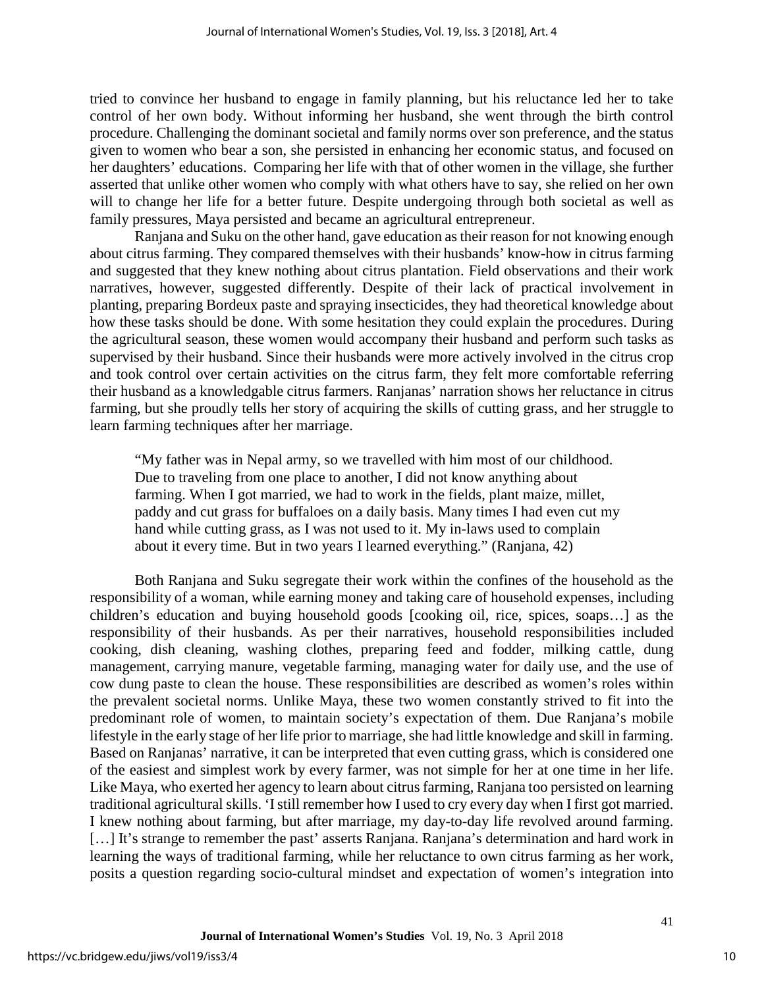tried to convince her husband to engage in family planning, but his reluctance led her to take control of her own body. Without informing her husband, she went through the birth control procedure. Challenging the dominant societal and family norms over son preference, and the status given to women who bear a son, she persisted in enhancing her economic status, and focused on her daughters' educations. Comparing her life with that of other women in the village, she further asserted that unlike other women who comply with what others have to say, she relied on her own will to change her life for a better future. Despite undergoing through both societal as well as family pressures, Maya persisted and became an agricultural entrepreneur.

Ranjana and Suku on the other hand, gave education as their reason for not knowing enough about citrus farming. They compared themselves with their husbands' know-how in citrus farming and suggested that they knew nothing about citrus plantation. Field observations and their work narratives, however, suggested differently. Despite of their lack of practical involvement in planting, preparing Bordeux paste and spraying insecticides, they had theoretical knowledge about how these tasks should be done. With some hesitation they could explain the procedures. During the agricultural season, these women would accompany their husband and perform such tasks as supervised by their husband. Since their husbands were more actively involved in the citrus crop and took control over certain activities on the citrus farm, they felt more comfortable referring their husband as a knowledgable citrus farmers. Ranjanas' narration shows her reluctance in citrus farming, but she proudly tells her story of acquiring the skills of cutting grass, and her struggle to learn farming techniques after her marriage.

"My father was in Nepal army, so we travelled with him most of our childhood. Due to traveling from one place to another, I did not know anything about farming. When I got married, we had to work in the fields, plant maize, millet, paddy and cut grass for buffaloes on a daily basis. Many times I had even cut my hand while cutting grass, as I was not used to it. My in-laws used to complain about it every time. But in two years I learned everything." (Ranjana, 42)

Both Ranjana and Suku segregate their work within the confines of the household as the responsibility of a woman, while earning money and taking care of household expenses, including children's education and buying household goods [cooking oil, rice, spices, soaps…] as the responsibility of their husbands. As per their narratives, household responsibilities included cooking, dish cleaning, washing clothes, preparing feed and fodder, milking cattle, dung management, carrying manure, vegetable farming, managing water for daily use, and the use of cow dung paste to clean the house. These responsibilities are described as women's roles within the prevalent societal norms. Unlike Maya, these two women constantly strived to fit into the predominant role of women, to maintain society's expectation of them. Due Ranjana's mobile lifestyle in the early stage of her life prior to marriage, she had little knowledge and skill in farming. Based on Ranjanas' narrative, it can be interpreted that even cutting grass, which is considered one of the easiest and simplest work by every farmer, was not simple for her at one time in her life. Like Maya, who exerted her agency to learn about citrus farming, Ranjana too persisted on learning traditional agricultural skills. 'I still remember how I used to cry every day when I first got married. I knew nothing about farming, but after marriage, my day-to-day life revolved around farming. [...] It's strange to remember the past' asserts Ranjana. Ranjana's determination and hard work in learning the ways of traditional farming, while her reluctance to own citrus farming as her work, posits a question regarding socio-cultural mindset and expectation of women's integration into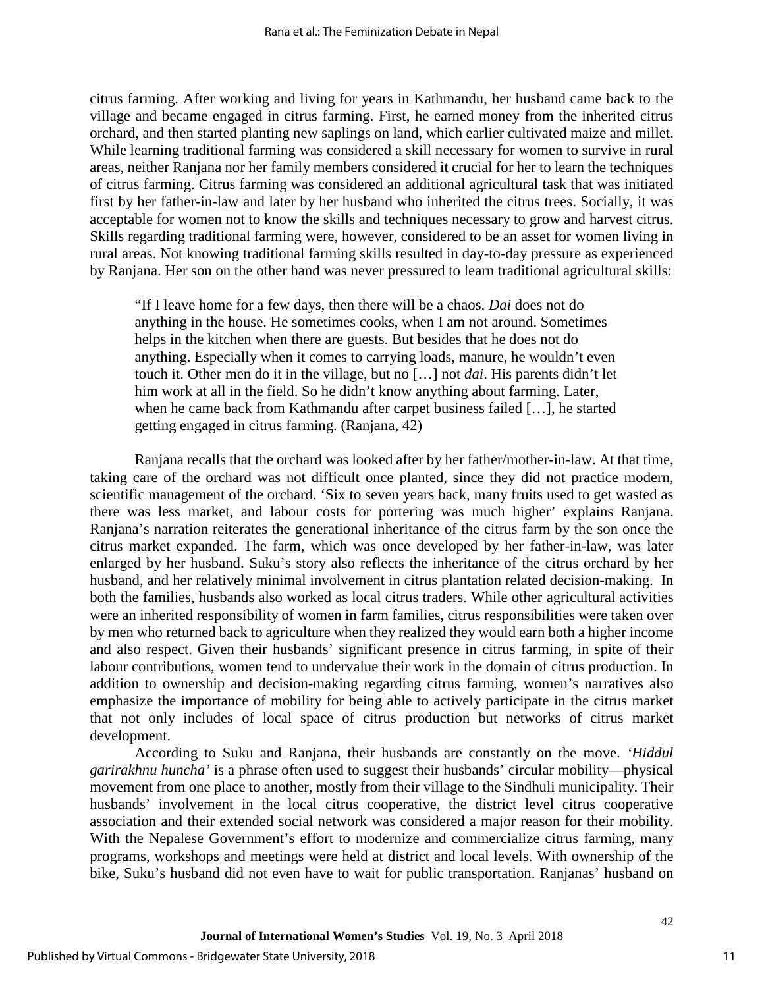citrus farming. After working and living for years in Kathmandu, her husband came back to the village and became engaged in citrus farming. First, he earned money from the inherited citrus orchard, and then started planting new saplings on land, which earlier cultivated maize and millet. While learning traditional farming was considered a skill necessary for women to survive in rural areas, neither Ranjana nor her family members considered it crucial for her to learn the techniques of citrus farming. Citrus farming was considered an additional agricultural task that was initiated first by her father-in-law and later by her husband who inherited the citrus trees. Socially, it was acceptable for women not to know the skills and techniques necessary to grow and harvest citrus. Skills regarding traditional farming were, however, considered to be an asset for women living in rural areas. Not knowing traditional farming skills resulted in day-to-day pressure as experienced by Ranjana. Her son on the other hand was never pressured to learn traditional agricultural skills:

"If I leave home for a few days, then there will be a chaos. *Dai* does not do anything in the house. He sometimes cooks, when I am not around. Sometimes helps in the kitchen when there are guests. But besides that he does not do anything. Especially when it comes to carrying loads, manure, he wouldn't even touch it. Other men do it in the village, but no […] not *dai*. His parents didn't let him work at all in the field. So he didn't know anything about farming. Later, when he came back from Kathmandu after carpet business failed […], he started getting engaged in citrus farming. (Ranjana, 42)

Ranjana recalls that the orchard was looked after by her father/mother-in-law. At that time, taking care of the orchard was not difficult once planted, since they did not practice modern, scientific management of the orchard. 'Six to seven years back, many fruits used to get wasted as there was less market, and labour costs for portering was much higher' explains Ranjana. Ranjana's narration reiterates the generational inheritance of the citrus farm by the son once the citrus market expanded. The farm, which was once developed by her father-in-law, was later enlarged by her husband. Suku's story also reflects the inheritance of the citrus orchard by her husband, and her relatively minimal involvement in citrus plantation related decision-making. In both the families, husbands also worked as local citrus traders. While other agricultural activities were an inherited responsibility of women in farm families, citrus responsibilities were taken over by men who returned back to agriculture when they realized they would earn both a higher income and also respect. Given their husbands' significant presence in citrus farming, in spite of their labour contributions, women tend to undervalue their work in the domain of citrus production. In addition to ownership and decision-making regarding citrus farming, women's narratives also emphasize the importance of mobility for being able to actively participate in the citrus market that not only includes of local space of citrus production but networks of citrus market development.

According to Suku and Ranjana, their husbands are constantly on the move. *'Hiddul garirakhnu huncha'* is a phrase often used to suggest their husbands' circular mobility—physical movement from one place to another, mostly from their village to the Sindhuli municipality. Their husbands' involvement in the local citrus cooperative, the district level citrus cooperative association and their extended social network was considered a major reason for their mobility. With the Nepalese Government's effort to modernize and commercialize citrus farming, many programs, workshops and meetings were held at district and local levels. With ownership of the bike, Suku's husband did not even have to wait for public transportation. Ranjanas' husband on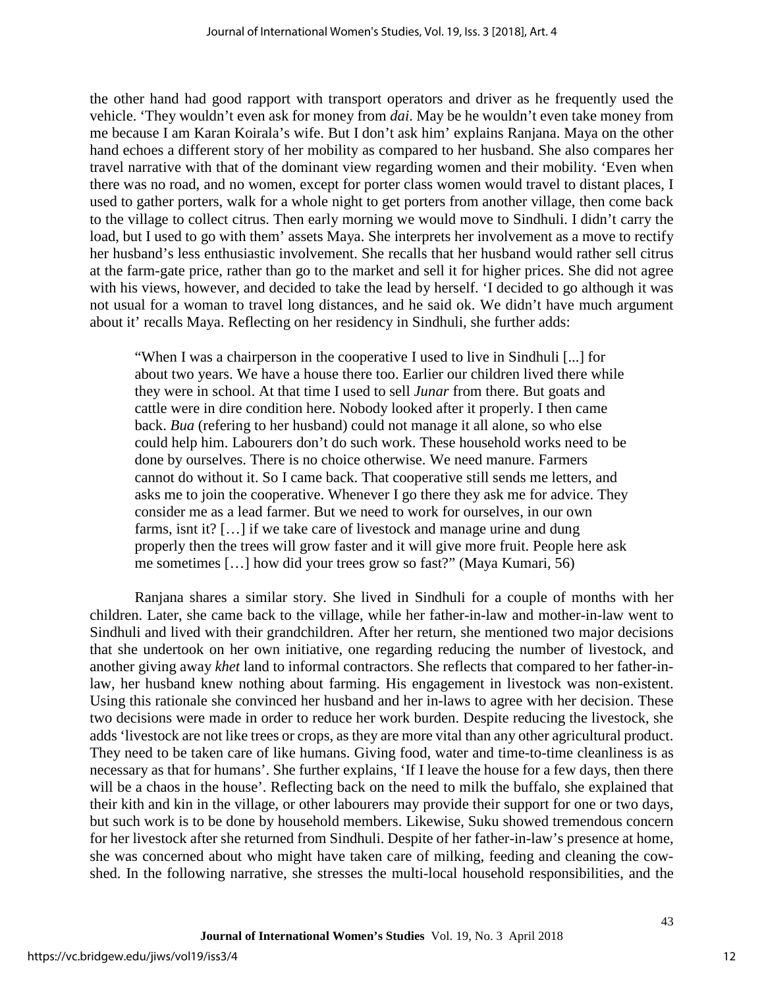the other hand had good rapport with transport operators and driver as he frequently used the vehicle. 'They wouldn't even ask for money from *dai*. May be he wouldn't even take money from me because I am Karan Koirala's wife. But I don't ask him' explains Ranjana. Maya on the other hand echoes a different story of her mobility as compared to her husband. She also compares her travel narrative with that of the dominant view regarding women and their mobility. 'Even when there was no road, and no women, except for porter class women would travel to distant places, I used to gather porters, walk for a whole night to get porters from another village, then come back to the village to collect citrus. Then early morning we would move to Sindhuli. I didn't carry the load, but I used to go with them' assets Maya. She interprets her involvement as a move to rectify her husband's less enthusiastic involvement. She recalls that her husband would rather sell citrus at the farm-gate price, rather than go to the market and sell it for higher prices. She did not agree with his views, however, and decided to take the lead by herself. 'I decided to go although it was not usual for a woman to travel long distances, and he said ok. We didn't have much argument about it' recalls Maya. Reflecting on her residency in Sindhuli, she further adds:

"When I was a chairperson in the cooperative I used to live in Sindhuli [...] for about two years. We have a house there too. Earlier our children lived there while they were in school. At that time I used to sell *Junar* from there. But goats and cattle were in dire condition here. Nobody looked after it properly. I then came back. *Bua* (refering to her husband) could not manage it all alone, so who else could help him. Labourers don't do such work. These household works need to be done by ourselves. There is no choice otherwise. We need manure. Farmers cannot do without it. So I came back. That cooperative still sends me letters, and asks me to join the cooperative. Whenever I go there they ask me for advice. They consider me as a lead farmer. But we need to work for ourselves, in our own farms, isnt it? […] if we take care of livestock and manage urine and dung properly then the trees will grow faster and it will give more fruit. People here ask me sometimes […] how did your trees grow so fast?" (Maya Kumari, 56)

Ranjana shares a similar story. She lived in Sindhuli for a couple of months with her children. Later, she came back to the village, while her father-in-law and mother-in-law went to Sindhuli and lived with their grandchildren. After her return, she mentioned two major decisions that she undertook on her own initiative, one regarding reducing the number of livestock, and another giving away *khet* land to informal contractors. She reflects that compared to her father-inlaw, her husband knew nothing about farming. His engagement in livestock was non-existent. Using this rationale she convinced her husband and her in-laws to agree with her decision. These two decisions were made in order to reduce her work burden. Despite reducing the livestock, she adds 'livestock are not like trees or crops, as they are more vital than any other agricultural product. They need to be taken care of like humans. Giving food, water and time-to-time cleanliness is as necessary as that for humans'. She further explains, 'If I leave the house for a few days, then there will be a chaos in the house'. Reflecting back on the need to milk the buffalo, she explained that their kith and kin in the village, or other labourers may provide their support for one or two days, but such work is to be done by household members. Likewise, Suku showed tremendous concern for her livestock after she returned from Sindhuli. Despite of her father-in-law's presence at home, she was concerned about who might have taken care of milking, feeding and cleaning the cowshed. In the following narrative, she stresses the multi-local household responsibilities, and the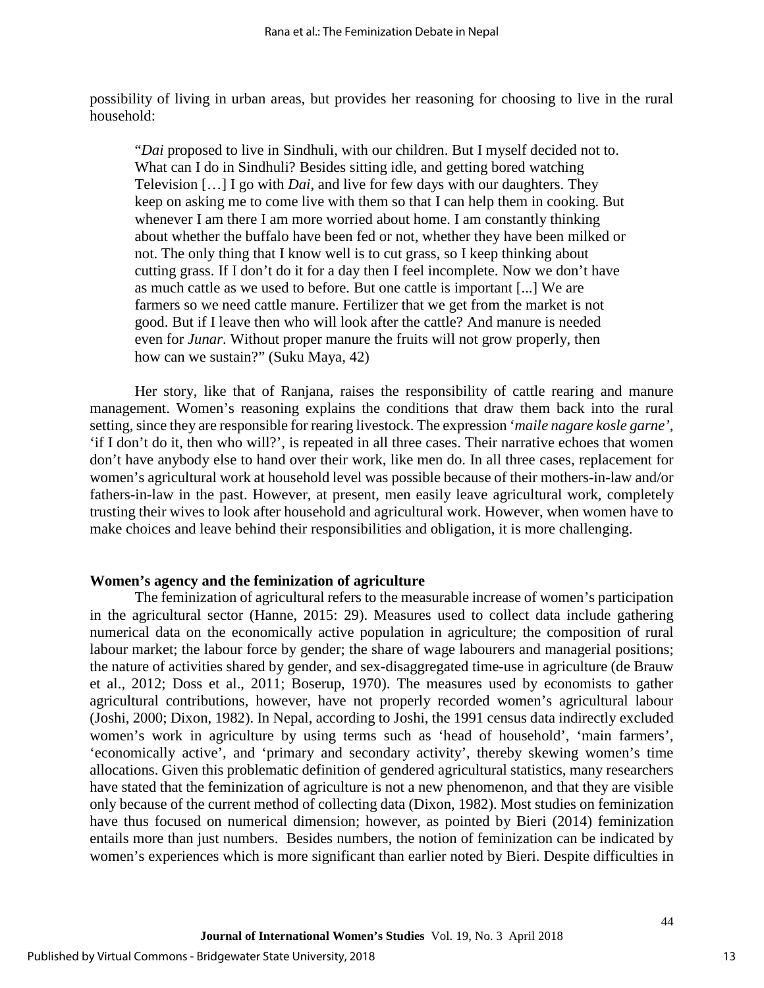possibility of living in urban areas, but provides her reasoning for choosing to live in the rural household:

"*Dai* proposed to live in Sindhuli, with our children. But I myself decided not to. What can I do in Sindhuli? Besides sitting idle, and getting bored watching Television […] I go with *Dai*, and live for few days with our daughters. They keep on asking me to come live with them so that I can help them in cooking. But whenever I am there I am more worried about home. I am constantly thinking about whether the buffalo have been fed or not, whether they have been milked or not. The only thing that I know well is to cut grass, so I keep thinking about cutting grass. If I don't do it for a day then I feel incomplete. Now we don't have as much cattle as we used to before. But one cattle is important [...] We are farmers so we need cattle manure. Fertilizer that we get from the market is not good. But if I leave then who will look after the cattle? And manure is needed even for *Junar*. Without proper manure the fruits will not grow properly, then how can we sustain?" (Suku Maya, 42)

Her story, like that of Ranjana, raises the responsibility of cattle rearing and manure management. Women's reasoning explains the conditions that draw them back into the rural setting, since they are responsible for rearing livestock. The expression '*maile nagare kosle garne'*, 'if I don't do it, then who will?', is repeated in all three cases. Their narrative echoes that women don't have anybody else to hand over their work, like men do. In all three cases, replacement for women's agricultural work at household level was possible because of their mothers-in-law and/or fathers-in-law in the past. However, at present, men easily leave agricultural work, completely trusting their wives to look after household and agricultural work. However, when women have to make choices and leave behind their responsibilities and obligation, it is more challenging.

#### **Women's agency and the feminization of agriculture**

The feminization of agricultural refers to the measurable increase of women's participation in the agricultural sector (Hanne, 2015: 29). Measures used to collect data include gathering numerical data on the economically active population in agriculture; the composition of rural labour market; the labour force by gender; the share of wage labourers and managerial positions; the nature of activities shared by gender, and sex-disaggregated time-use in agriculture (de Brauw et al., 2012; Doss et al., 2011; Boserup, 1970). The measures used by economists to gather agricultural contributions, however, have not properly recorded women's agricultural labour (Joshi, 2000; Dixon, 1982). In Nepal, according to Joshi, the 1991 census data indirectly excluded women's work in agriculture by using terms such as 'head of household', 'main farmers', 'economically active', and 'primary and secondary activity', thereby skewing women's time allocations. Given this problematic definition of gendered agricultural statistics, many researchers have stated that the feminization of agriculture is not a new phenomenon, and that they are visible only because of the current method of collecting data (Dixon, 1982). Most studies on feminization have thus focused on numerical dimension; however, as pointed by Bieri (2014) feminization entails more than just numbers. Besides numbers, the notion of feminization can be indicated by women's experiences which is more significant than earlier noted by Bieri. Despite difficulties in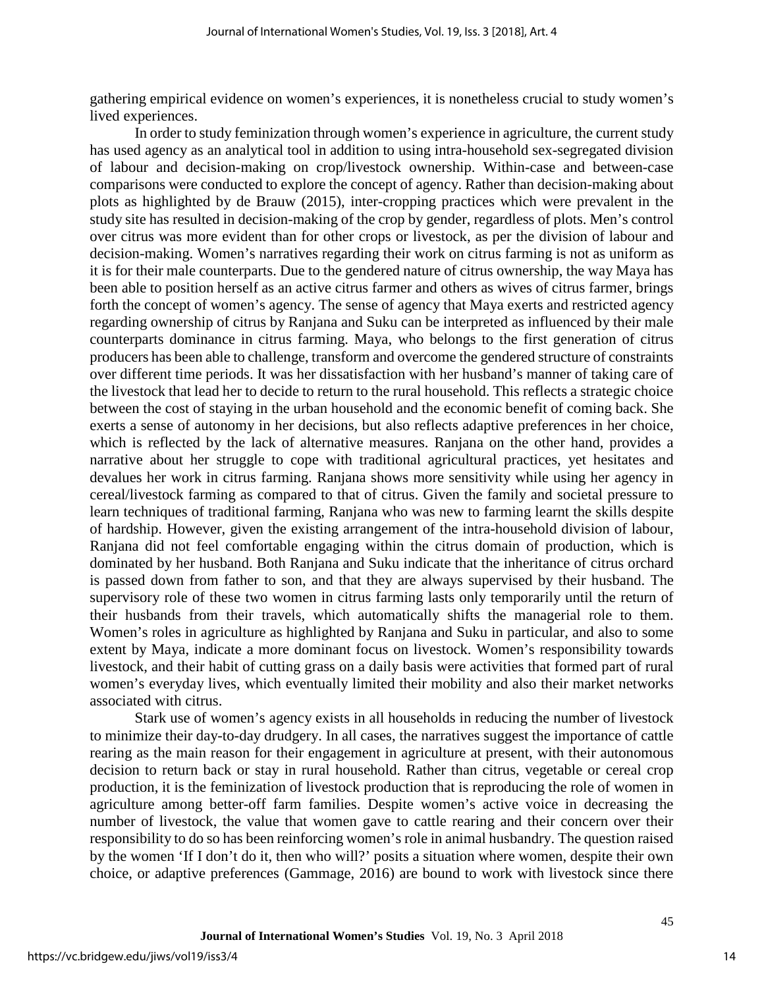gathering empirical evidence on women's experiences, it is nonetheless crucial to study women's lived experiences.

In order to study feminization through women's experience in agriculture, the current study has used agency as an analytical tool in addition to using intra-household sex-segregated division of labour and decision-making on crop/livestock ownership. Within-case and between-case comparisons were conducted to explore the concept of agency. Rather than decision-making about plots as highlighted by de Brauw (2015), inter-cropping practices which were prevalent in the study site has resulted in decision-making of the crop by gender, regardless of plots. Men's control over citrus was more evident than for other crops or livestock, as per the division of labour and decision-making. Women's narratives regarding their work on citrus farming is not as uniform as it is for their male counterparts. Due to the gendered nature of citrus ownership, the way Maya has been able to position herself as an active citrus farmer and others as wives of citrus farmer, brings forth the concept of women's agency. The sense of agency that Maya exerts and restricted agency regarding ownership of citrus by Ranjana and Suku can be interpreted as influenced by their male counterparts dominance in citrus farming. Maya, who belongs to the first generation of citrus producers has been able to challenge, transform and overcome the gendered structure of constraints over different time periods. It was her dissatisfaction with her husband's manner of taking care of the livestock that lead her to decide to return to the rural household. This reflects a strategic choice between the cost of staying in the urban household and the economic benefit of coming back. She exerts a sense of autonomy in her decisions, but also reflects adaptive preferences in her choice, which is reflected by the lack of alternative measures. Ranjana on the other hand, provides a narrative about her struggle to cope with traditional agricultural practices, yet hesitates and devalues her work in citrus farming. Ranjana shows more sensitivity while using her agency in cereal/livestock farming as compared to that of citrus. Given the family and societal pressure to learn techniques of traditional farming, Ranjana who was new to farming learnt the skills despite of hardship. However, given the existing arrangement of the intra-household division of labour, Ranjana did not feel comfortable engaging within the citrus domain of production, which is dominated by her husband. Both Ranjana and Suku indicate that the inheritance of citrus orchard is passed down from father to son, and that they are always supervised by their husband. The supervisory role of these two women in citrus farming lasts only temporarily until the return of their husbands from their travels, which automatically shifts the managerial role to them. Women's roles in agriculture as highlighted by Ranjana and Suku in particular, and also to some extent by Maya, indicate a more dominant focus on livestock. Women's responsibility towards livestock, and their habit of cutting grass on a daily basis were activities that formed part of rural women's everyday lives, which eventually limited their mobility and also their market networks associated with citrus.

Stark use of women's agency exists in all households in reducing the number of livestock to minimize their day-to-day drudgery. In all cases, the narratives suggest the importance of cattle rearing as the main reason for their engagement in agriculture at present, with their autonomous decision to return back or stay in rural household. Rather than citrus, vegetable or cereal crop production, it is the feminization of livestock production that is reproducing the role of women in agriculture among better-off farm families. Despite women's active voice in decreasing the number of livestock, the value that women gave to cattle rearing and their concern over their responsibility to do so has been reinforcing women's role in animal husbandry. The question raised by the women 'If I don't do it, then who will?' posits a situation where women, despite their own choice, or adaptive preferences (Gammage, 2016) are bound to work with livestock since there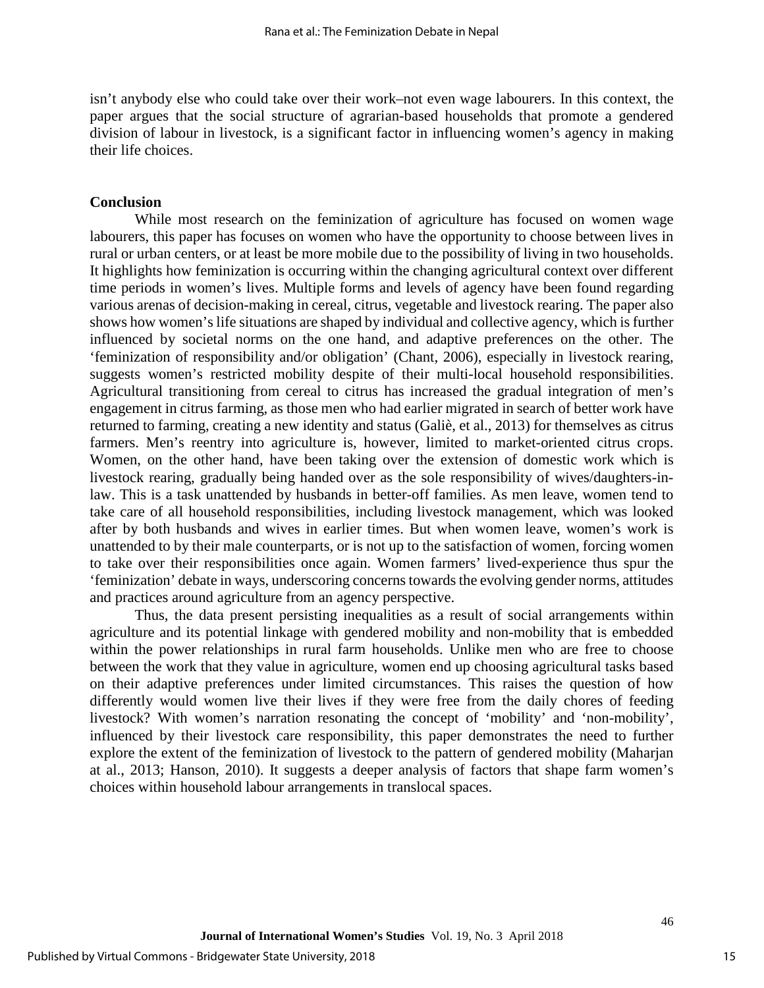isn't anybody else who could take over their work–not even wage labourers. In this context, the paper argues that the social structure of agrarian-based households that promote a gendered division of labour in livestock, is a significant factor in influencing women's agency in making their life choices.

#### **Conclusion**

While most research on the feminization of agriculture has focused on women wage labourers, this paper has focuses on women who have the opportunity to choose between lives in rural or urban centers, or at least be more mobile due to the possibility of living in two households. It highlights how feminization is occurring within the changing agricultural context over different time periods in women's lives. Multiple forms and levels of agency have been found regarding various arenas of decision-making in cereal, citrus, vegetable and livestock rearing. The paper also shows how women's life situations are shaped by individual and collective agency, which is further influenced by societal norms on the one hand, and adaptive preferences on the other. The 'feminization of responsibility and/or obligation' (Chant, 2006), especially in livestock rearing, suggests women's restricted mobility despite of their multi-local household responsibilities. Agricultural transitioning from cereal to citrus has increased the gradual integration of men's engagement in citrus farming, as those men who had earlier migrated in search of better work have returned to farming, creating a new identity and status (Galiè, et al., 2013) for themselves as citrus farmers. Men's reentry into agriculture is, however, limited to market-oriented citrus crops. Women, on the other hand, have been taking over the extension of domestic work which is livestock rearing, gradually being handed over as the sole responsibility of wives/daughters-inlaw. This is a task unattended by husbands in better-off families. As men leave, women tend to take care of all household responsibilities, including livestock management, which was looked after by both husbands and wives in earlier times. But when women leave, women's work is unattended to by their male counterparts, or is not up to the satisfaction of women, forcing women to take over their responsibilities once again. Women farmers' lived-experience thus spur the 'feminization' debate in ways, underscoring concerns towards the evolving gender norms, attitudes and practices around agriculture from an agency perspective.

Thus, the data present persisting inequalities as a result of social arrangements within agriculture and its potential linkage with gendered mobility and non-mobility that is embedded within the power relationships in rural farm households. Unlike men who are free to choose between the work that they value in agriculture, women end up choosing agricultural tasks based on their adaptive preferences under limited circumstances. This raises the question of how differently would women live their lives if they were free from the daily chores of feeding livestock? With women's narration resonating the concept of 'mobility' and 'non-mobility', influenced by their livestock care responsibility, this paper demonstrates the need to further explore the extent of the feminization of livestock to the pattern of gendered mobility (Maharjan at al., 2013; Hanson, 2010). It suggests a deeper analysis of factors that shape farm women's choices within household labour arrangements in translocal spaces.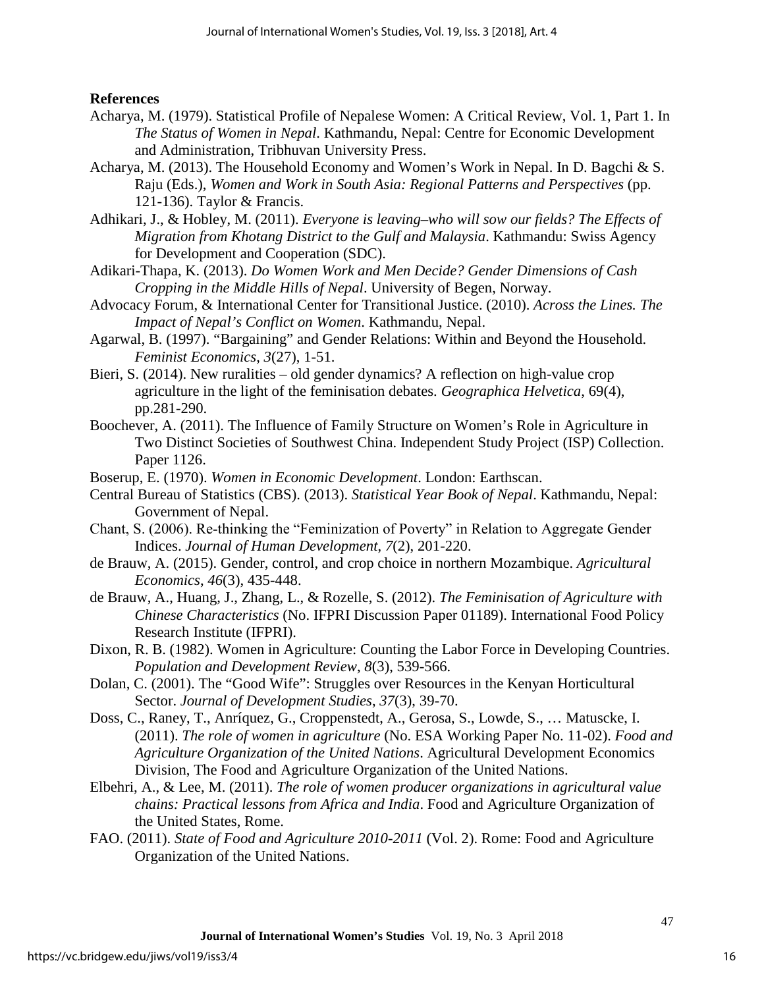## **References**

- Acharya, M. (1979). Statistical Profile of Nepalese Women: A Critical Review, Vol. 1, Part 1. In *The Status of Women in Nepal*. Kathmandu, Nepal: Centre for Economic Development and Administration, Tribhuvan University Press.
- Acharya, M. (2013). The Household Economy and Women's Work in Nepal. In D. Bagchi & S. Raju (Eds.), *Women and Work in South Asia: Regional Patterns and Perspectives* (pp. 121-136). Taylor & Francis.
- Adhikari, J., & Hobley, M. (2011). *Everyone is leaving–who will sow our fields? The Effects of Migration from Khotang District to the Gulf and Malaysia*. Kathmandu: Swiss Agency for Development and Cooperation (SDC).
- Adikari-Thapa, K. (2013). *Do Women Work and Men Decide? Gender Dimensions of Cash Cropping in the Middle Hills of Nepal*. University of Begen, Norway.
- Advocacy Forum, & International Center for Transitional Justice. (2010). *Across the Lines. The Impact of Nepal's Conflict on Women*. Kathmandu, Nepal.
- Agarwal, B. (1997). "Bargaining" and Gender Relations: Within and Beyond the Household. *Feminist Economics*, *3*(27), 1-51.
- Bieri, S. (2014). New ruralities old gender dynamics? A reflection on high-value crop agriculture in the light of the feminisation debates. *Geographica Helvetica*, 69(4), pp.281-290.
- Boochever, A. (2011). The Influence of Family Structure on Women's Role in Agriculture in Two Distinct Societies of Southwest China. Independent Study Project (ISP) Collection. Paper 1126.
- Boserup, E. (1970). *Women in Economic Development*. London: Earthscan.
- Central Bureau of Statistics (CBS). (2013). *Statistical Year Book of Nepal*. Kathmandu, Nepal: Government of Nepal.
- Chant, S. (2006). Re‐thinking the "Feminization of Poverty" in Relation to Aggregate Gender Indices. *Journal of Human Development*, *7*(2), 201-220.
- de Brauw, A. (2015). Gender, control, and crop choice in northern Mozambique. *Agricultural Economics*, *46*(3), 435-448.
- de Brauw, A., Huang, J., Zhang, L., & Rozelle, S. (2012). *The Feminisation of Agriculture with Chinese Characteristics* (No. IFPRI Discussion Paper 01189). International Food Policy Research Institute (IFPRI).
- Dixon, R. B. (1982). Women in Agriculture: Counting the Labor Force in Developing Countries. *Population and Development Review*, *8*(3), 539-566.
- Dolan, C. (2001). The "Good Wife": Struggles over Resources in the Kenyan Horticultural Sector. *Journal of Development Studies*, *37*(3), 39-70.
- Doss, C., Raney, T., Anríquez, G., Croppenstedt, A., Gerosa, S., Lowde, S., … Matuscke, I. (2011). *The role of women in agriculture* (No. ESA Working Paper No. 11-02). *Food and Agriculture Organization of the United Nations*. Agricultural Development Economics Division, The Food and Agriculture Organization of the United Nations.
- Elbehri, A., & Lee, M. (2011). *The role of women producer organizations in agricultural value chains: Practical lessons from Africa and India*. Food and Agriculture Organization of the United States, Rome.
- FAO. (2011). *State of Food and Agriculture 2010-2011* (Vol. 2). Rome: Food and Agriculture Organization of the United Nations.